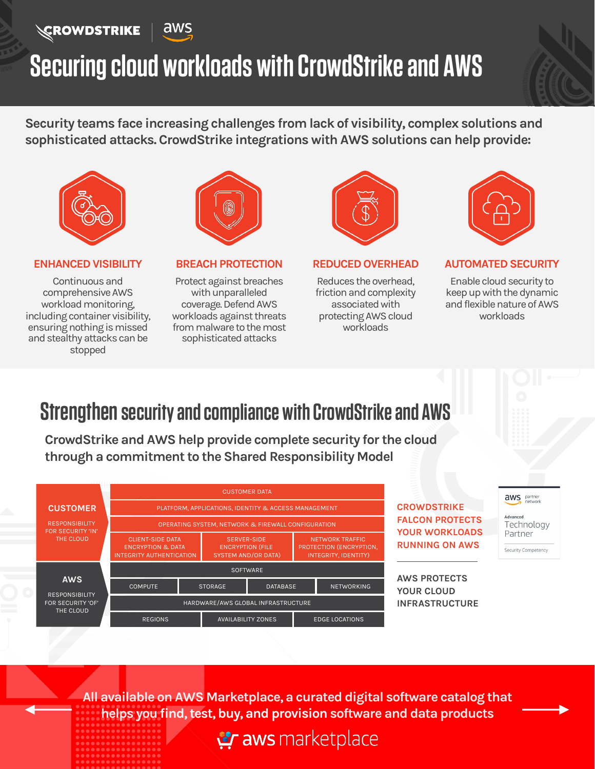### **EROWDSTRIKE**



# **Securing cloud workloads with CrowdStrike and AWS**

**Security teams face increasing challenges from lack of visibility, complex solutions and sophisticated attacks. CrowdStrike integrations with AWS solutions can help provide:**



#### **ENHANCED VISIBILITY**

Continuous and comprehensive AWS workload monitoring, including container visibility, ensuring nothing is missed and stealthy attacks can be stopped



**BREACH PROTECTION**

Protect against breaches with unparalleled coverage. Defend AWS workloads against threats from malware to the most sophisticated attacks



**REDUCED OVERHEAD**

Reduces the overhead, friction and complexity associated with protecting AWS cloud workloads



#### **AUTOMATED SECURITY**

Enable cloud security to keep up with the dynamic and flexible nature of AWS workloads

### **Strengthen security and compliance with CrowdStrike and AWS**

**CrowdStrike and AWS help provide complete security for the cloud through a commitment to the Shared Responsibility Model** 



aws partner Advanced Technology Partner Security Competency

**All available on AWS Marketplace, a curated digital software catalog that helps you find, test, buy, and provision software and data products**

**Praws** marketplace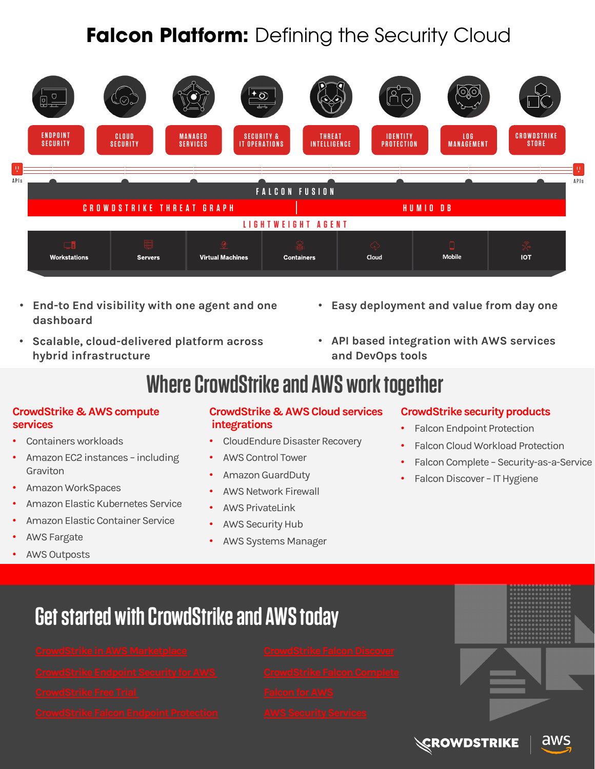### **Falcon Platform:** Defining the Security Cloud



- **End-to End visibility with one agent and one dashboard**
- **Scalable, cloud-delivered platform across hybrid infrastructure**
- **Easy deployment and value from day one**
- **API based integration with AWS services and DevOps tools**

### **Where CrowdStrike and AWS work together**

#### **CrowdStrike & AWS compute services**

- Containers workloads
- Amazon EC2 instances including Graviton
- Amazon WorkSpaces
- Amazon Elastic Kubernetes Service
- Amazon Elastic Container Service
- **AWS Fargate**
- **AWS Outposts**

### **CrowdStrike & AWS Cloud services integrations**

- CloudEndure Disaster Recovery
- AWS Control Tower
- Amazon GuardDuty
- AWS Network Firewall
- AWS PrivateLink
- **AWS Security Hub**
- AWS Systems Manager

### **CrowdStrike security products**

- Falcon Endpoint Protection
- Falcon Cloud Workload Protection
- Falcon Complete Security-as-a-Service
- Falcon Discover IT Hygiene

**Get started with CrowdStrike and AWS today**